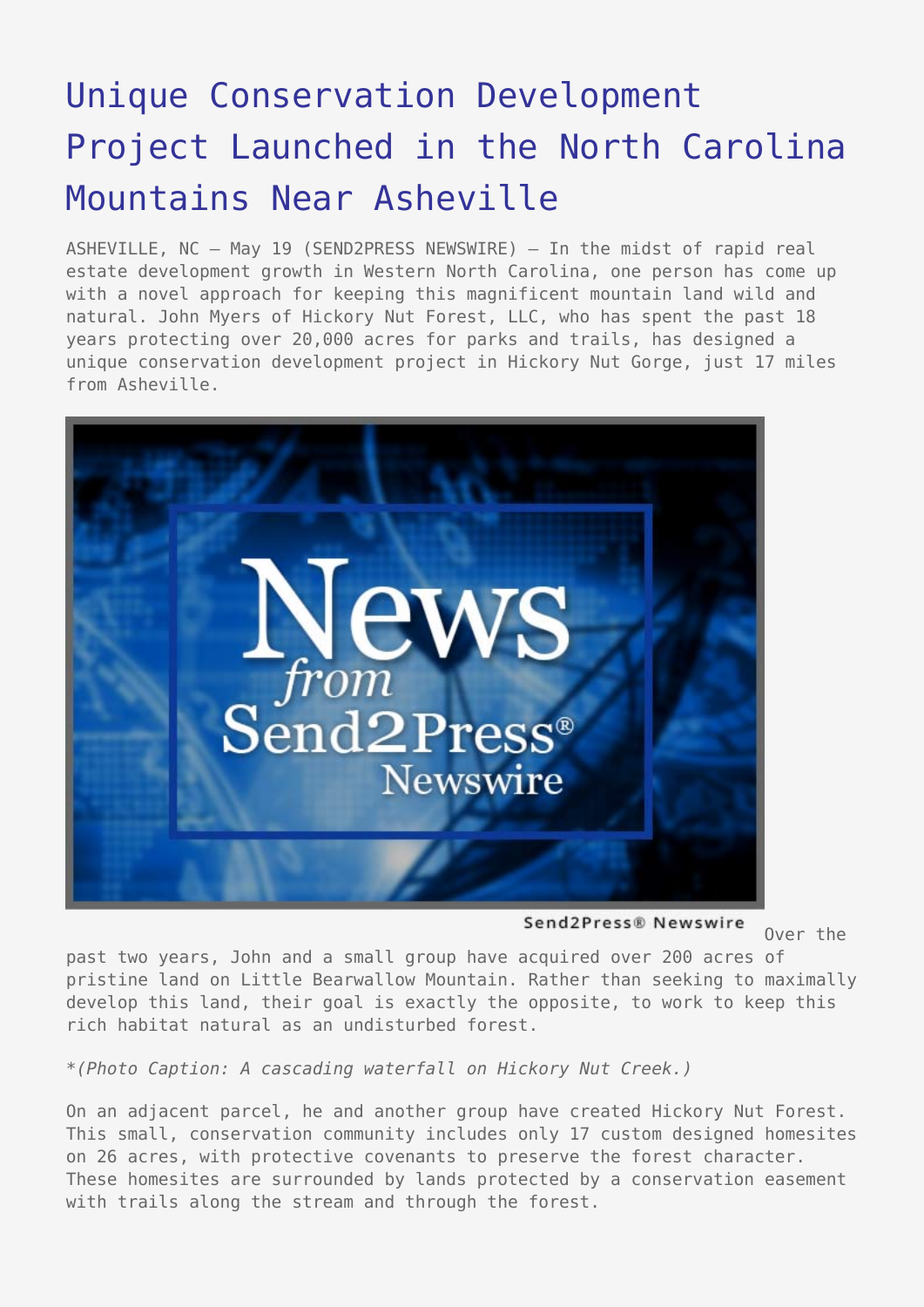## [Unique Conservation Development](https://www.send2press.com/wire/2006-05-0519-001/) [Project Launched in the North Carolina](https://www.send2press.com/wire/2006-05-0519-001/) [Mountains Near Asheville](https://www.send2press.com/wire/2006-05-0519-001/)

ASHEVILLE, NC – May 19 (SEND2PRESS NEWSWIRE) — In the midst of rapid real estate development growth in Western North Carolina, one person has come up with a novel approach for keeping this magnificent mountain land wild and natural. John Myers of Hickory Nut Forest, LLC, who has spent the past 18 years protecting over 20,000 acres for parks and trails, has designed a unique conservation development project in Hickory Nut Gorge, just 17 miles from Asheville.



Send2Press® Newswire

Over the

past two years, John and a small group have acquired over 200 acres of pristine land on Little Bearwallow Mountain. Rather than seeking to maximally develop this land, their goal is exactly the opposite, to work to keep this rich habitat natural as an undisturbed forest.

*\*(Photo Caption: A cascading waterfall on Hickory Nut Creek.)*

On an adjacent parcel, he and another group have created Hickory Nut Forest. This small, conservation community includes only 17 custom designed homesites on 26 acres, with protective covenants to preserve the forest character. These homesites are surrounded by lands protected by a conservation easement with trails along the stream and through the forest.